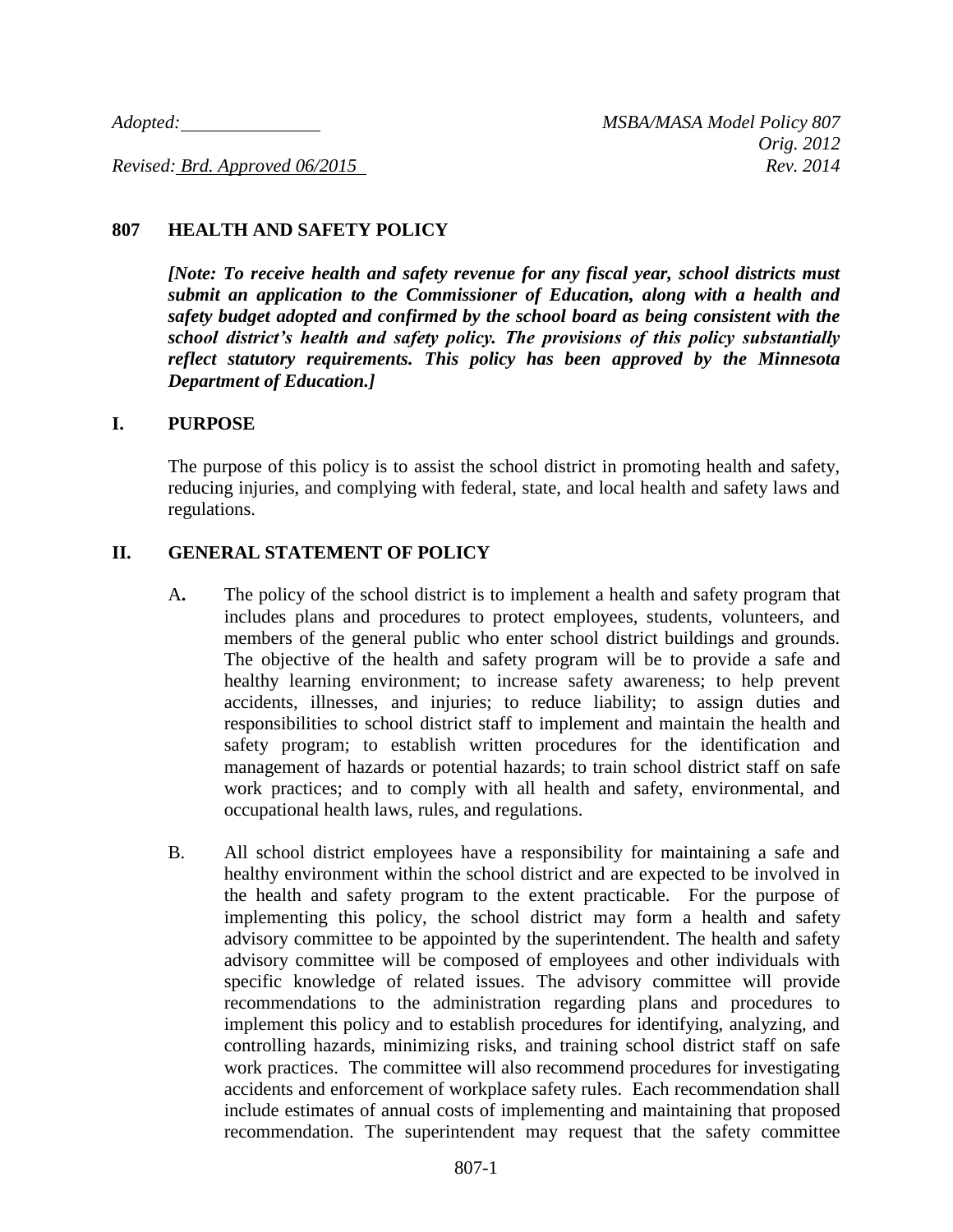*Adopted: MSBA/MASA Model Policy 807*

*Revised: Brd. Approved 06/2015* Rev. 2014

## **807 HEALTH AND SAFETY POLICY**

*[Note: To receive health and safety revenue for any fiscal year, school districts must submit an application to the Commissioner of Education, along with a health and safety budget adopted and confirmed by the school board as being consistent with the school district's health and safety policy. The provisions of this policy substantially reflect statutory requirements. This policy has been approved by the Minnesota Department of Education.]*

#### **I. PURPOSE**

The purpose of this policy is to assist the school district in promoting health and safety, reducing injuries, and complying with federal, state, and local health and safety laws and regulations.

#### **II. GENERAL STATEMENT OF POLICY**

- A**.** The policy of the school district is to implement a health and safety program that includes plans and procedures to protect employees, students, volunteers, and members of the general public who enter school district buildings and grounds. The objective of the health and safety program will be to provide a safe and healthy learning environment; to increase safety awareness; to help prevent accidents, illnesses, and injuries; to reduce liability; to assign duties and responsibilities to school district staff to implement and maintain the health and safety program; to establish written procedures for the identification and management of hazards or potential hazards; to train school district staff on safe work practices; and to comply with all health and safety, environmental, and occupational health laws, rules, and regulations.
- B. All school district employees have a responsibility for maintaining a safe and healthy environment within the school district and are expected to be involved in the health and safety program to the extent practicable. For the purpose of implementing this policy, the school district may form a health and safety advisory committee to be appointed by the superintendent. The health and safety advisory committee will be composed of employees and other individuals with specific knowledge of related issues. The advisory committee will provide recommendations to the administration regarding plans and procedures to implement this policy and to establish procedures for identifying, analyzing, and controlling hazards, minimizing risks, and training school district staff on safe work practices. The committee will also recommend procedures for investigating accidents and enforcement of workplace safety rules. Each recommendation shall include estimates of annual costs of implementing and maintaining that proposed recommendation. The superintendent may request that the safety committee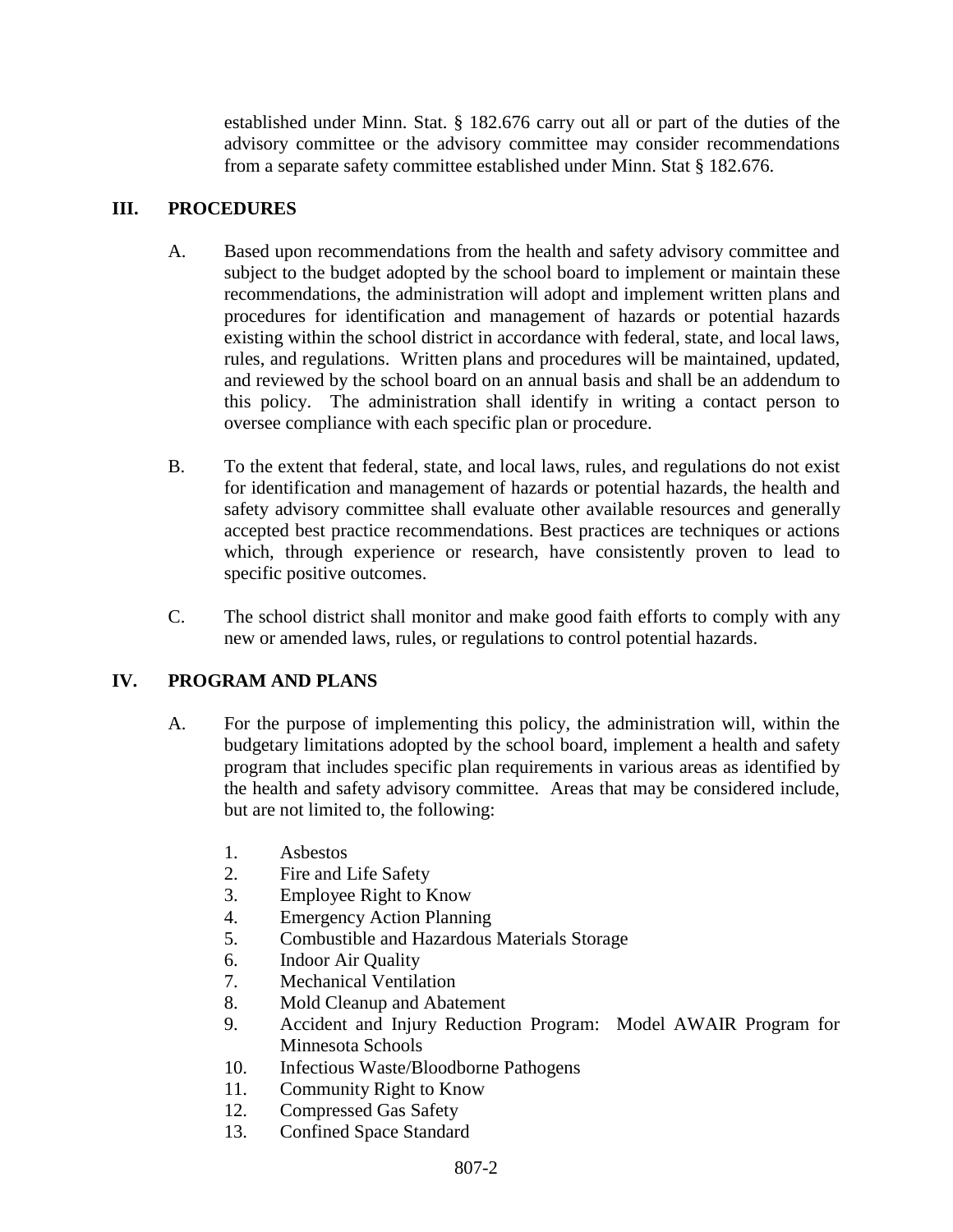established under Minn. Stat. § 182.676 carry out all or part of the duties of the advisory committee or the advisory committee may consider recommendations from a separate safety committee established under Minn. Stat § 182.676.

# **III. PROCEDURES**

- A. Based upon recommendations from the health and safety advisory committee and subject to the budget adopted by the school board to implement or maintain these recommendations, the administration will adopt and implement written plans and procedures for identification and management of hazards or potential hazards existing within the school district in accordance with federal, state, and local laws, rules, and regulations. Written plans and procedures will be maintained, updated, and reviewed by the school board on an annual basis and shall be an addendum to this policy. The administration shall identify in writing a contact person to oversee compliance with each specific plan or procedure.
- B. To the extent that federal, state, and local laws, rules, and regulations do not exist for identification and management of hazards or potential hazards, the health and safety advisory committee shall evaluate other available resources and generally accepted best practice recommendations. Best practices are techniques or actions which, through experience or research, have consistently proven to lead to specific positive outcomes.
- C. The school district shall monitor and make good faith efforts to comply with any new or amended laws, rules, or regulations to control potential hazards.

# **IV. PROGRAM AND PLANS**

- A. For the purpose of implementing this policy, the administration will, within the budgetary limitations adopted by the school board, implement a health and safety program that includes specific plan requirements in various areas as identified by the health and safety advisory committee. Areas that may be considered include, but are not limited to, the following:
	- 1. Asbestos
	- 2. Fire and Life Safety
	- 3. Employee Right to Know
	- 4. Emergency Action Planning
	- 5. Combustible and Hazardous Materials Storage
	- 6. Indoor Air Quality
	- 7. Mechanical Ventilation
	- 8. Mold Cleanup and Abatement
	- 9. Accident and Injury Reduction Program: Model AWAIR Program for Minnesota Schools
	- 10. Infectious Waste/Bloodborne Pathogens
	- 11. Community Right to Know
	- 12. Compressed Gas Safety
	- 13. Confined Space Standard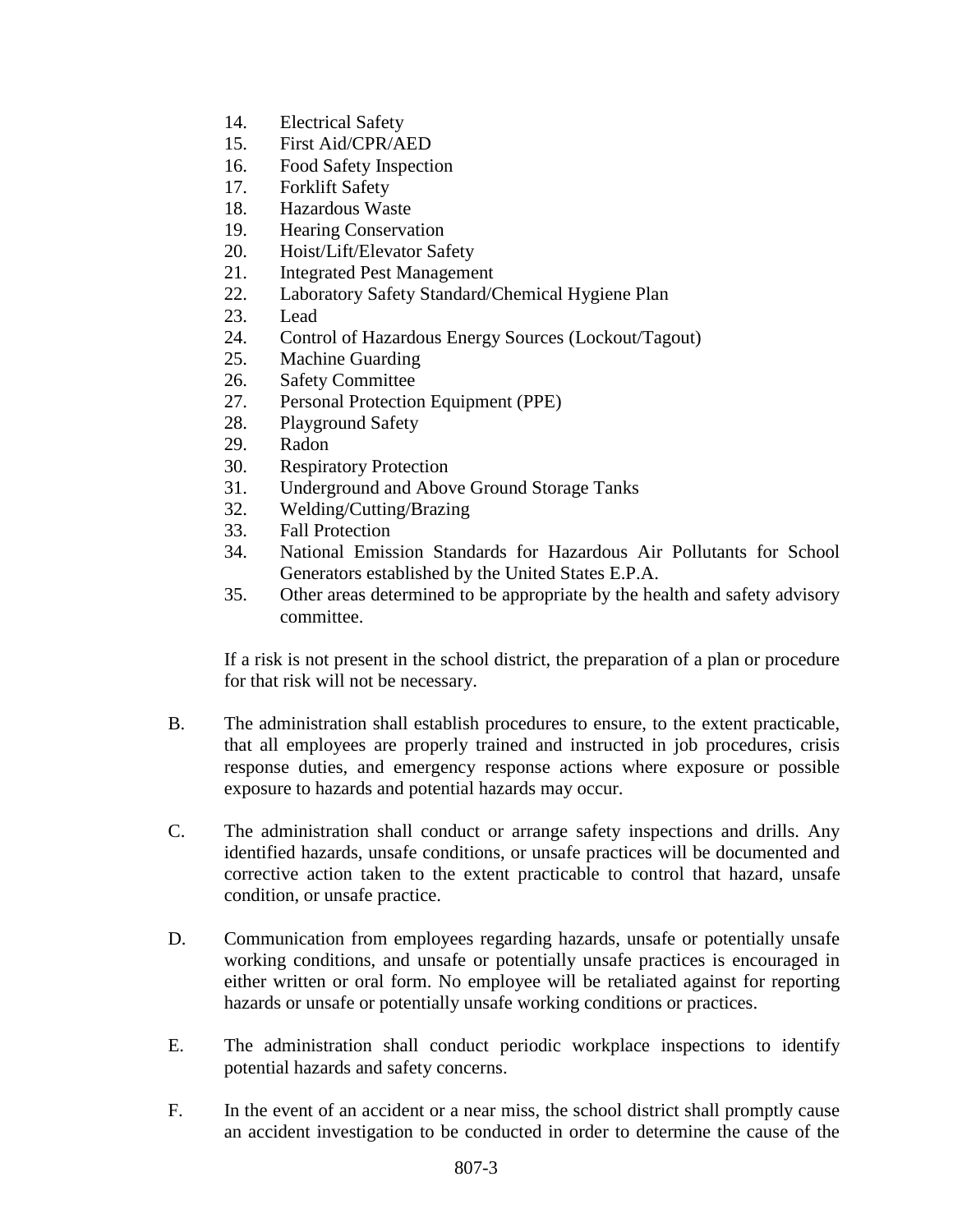- 14. Electrical Safety
- 15. First Aid/CPR/AED
- 16. Food Safety Inspection
- 17. Forklift Safety
- 18. Hazardous Waste
- 19. Hearing Conservation
- 20. Hoist/Lift/Elevator Safety
- 21. Integrated Pest Management
- 22. Laboratory Safety Standard/Chemical Hygiene Plan
- 23. Lead
- 24. Control of Hazardous Energy Sources (Lockout/Tagout)
- 25. Machine Guarding
- 26. Safety Committee
- 27. Personal Protection Equipment (PPE)
- 28. Playground Safety
- 29. Radon
- 30. Respiratory Protection
- 31. Underground and Above Ground Storage Tanks
- 32. Welding/Cutting/Brazing
- 33. Fall Protection
- 34. National Emission Standards for Hazardous Air Pollutants for School Generators established by the United States E.P.A.
- 35. Other areas determined to be appropriate by the health and safety advisory committee.

If a risk is not present in the school district, the preparation of a plan or procedure for that risk will not be necessary.

- B. The administration shall establish procedures to ensure, to the extent practicable, that all employees are properly trained and instructed in job procedures, crisis response duties, and emergency response actions where exposure or possible exposure to hazards and potential hazards may occur.
- C. The administration shall conduct or arrange safety inspections and drills. Any identified hazards, unsafe conditions, or unsafe practices will be documented and corrective action taken to the extent practicable to control that hazard, unsafe condition, or unsafe practice.
- D. Communication from employees regarding hazards, unsafe or potentially unsafe working conditions, and unsafe or potentially unsafe practices is encouraged in either written or oral form. No employee will be retaliated against for reporting hazards or unsafe or potentially unsafe working conditions or practices.
- E. The administration shall conduct periodic workplace inspections to identify potential hazards and safety concerns.
- F. In the event of an accident or a near miss, the school district shall promptly cause an accident investigation to be conducted in order to determine the cause of the